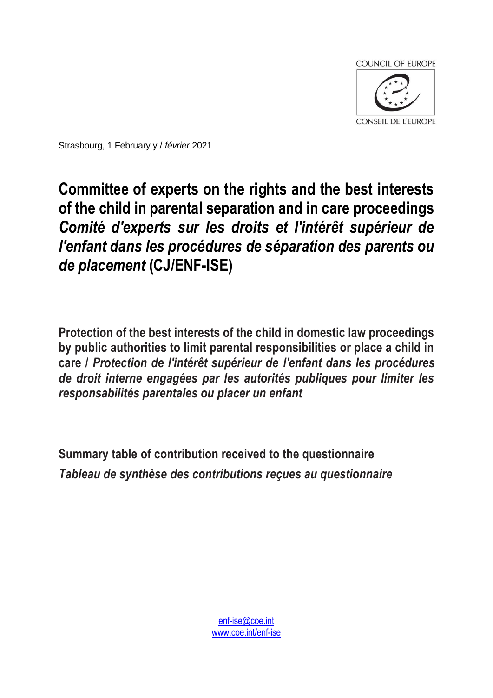

Strasbourg, 1 February y / *février* 2021

## **Committee of experts on the rights and the best interests of the child in parental separation and in care proceedings**  *Comité d'experts sur les droits et l'intérêt supérieur de l'enfant dans les procédures de séparation des parents ou de placement* **(CJ/ENF-ISE)**

**Protection of the best interests of the child in domestic law proceedings by public authorities to limit parental responsibilities or place a child in care /** *Protection de l'intérêt supérieur de l'enfant dans les procédures de droit interne engagées par les autorités publiques pour limiter les responsabilités parentales ou placer un enfant*

**Summary table of contribution received to the questionnaire** *Tableau de synthèse des contributions reçues au questionnaire*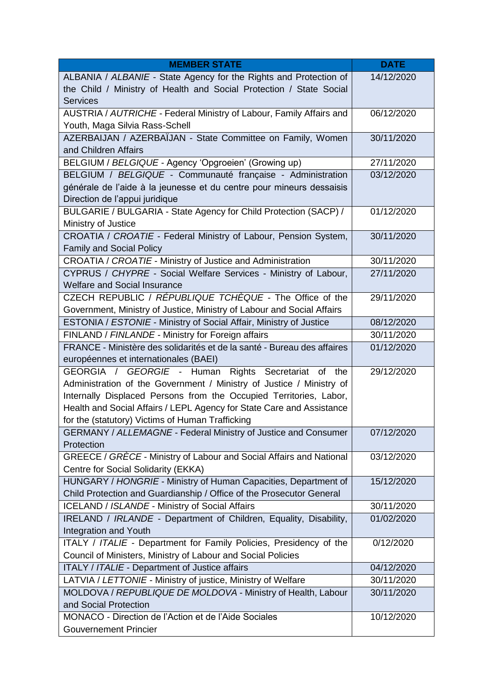| <b>MEMBER STATE</b>                                                                                                | <b>DATE</b> |
|--------------------------------------------------------------------------------------------------------------------|-------------|
| ALBANIA / ALBANIE - State Agency for the Rights and Protection of                                                  | 14/12/2020  |
| the Child / Ministry of Health and Social Protection / State Social                                                |             |
| <b>Services</b>                                                                                                    |             |
| AUSTRIA / AUTRICHE - Federal Ministry of Labour, Family Affairs and                                                | 06/12/2020  |
| Youth, Maga Silvia Rass-Schell                                                                                     |             |
| AZERBAIJAN / AZERBAÏJAN - State Committee on Family, Women                                                         | 30/11/2020  |
| and Children Affairs                                                                                               |             |
| BELGIUM / BELGIQUE - Agency 'Opgroeien' (Growing up)                                                               | 27/11/2020  |
| BELGIUM / BELGIQUE - Communauté française - Administration                                                         | 03/12/2020  |
| générale de l'aide à la jeunesse et du centre pour mineurs dessaisis                                               |             |
| Direction de l'appui juridique                                                                                     |             |
| BULGARIE / BULGARIA - State Agency for Child Protection (SACP) /                                                   | 01/12/2020  |
| Ministry of Justice                                                                                                |             |
| CROATIA / CROATIE - Federal Ministry of Labour, Pension System,                                                    | 30/11/2020  |
| <b>Family and Social Policy</b>                                                                                    |             |
| CROATIA / CROATIE - Ministry of Justice and Administration                                                         | 30/11/2020  |
| CYPRUS / CHYPRE - Social Welfare Services - Ministry of Labour,                                                    | 27/11/2020  |
| <b>Welfare and Social Insurance</b>                                                                                |             |
| CZECH REPUBLIC / RÉPUBLIQUE TCHÈQUE - The Office of the                                                            | 29/11/2020  |
| Government, Ministry of Justice, Ministry of Labour and Social Affairs                                             |             |
| ESTONIA / ESTONIE - Ministry of Social Affair, Ministry of Justice                                                 | 08/12/2020  |
| FINLAND / FINLANDE - Ministry for Foreign affairs                                                                  | 30/11/2020  |
| FRANCE - Ministère des solidarités et de la santé - Bureau des affaires                                            | 01/12/2020  |
| européennes et internationales (BAEI)                                                                              |             |
| GEORGIA / GEORGIE - Human Rights Secretariat of the                                                                | 29/12/2020  |
| Administration of the Government / Ministry of Justice / Ministry of                                               |             |
| Internally Displaced Persons from the Occupied Territories, Labor,                                                 |             |
| Health and Social Affairs / LEPL Agency for State Care and Assistance                                              |             |
| for the (statutory) Victims of Human Trafficking<br>GERMANY / ALLEMAGNE - Federal Ministry of Justice and Consumer | 07/12/2020  |
| Protection                                                                                                         |             |
| GREECE / GRÈCE - Ministry of Labour and Social Affairs and National                                                | 03/12/2020  |
| Centre for Social Solidarity (EKKA)                                                                                |             |
| HUNGARY / HONGRIE - Ministry of Human Capacities, Department of                                                    | 15/12/2020  |
| Child Protection and Guardianship / Office of the Prosecutor General                                               |             |
| ICELAND / ISLANDE - Ministry of Social Affairs                                                                     | 30/11/2020  |
| IRELAND / IRLANDE - Department of Children, Equality, Disability,                                                  | 01/02/2020  |
| <b>Integration and Youth</b>                                                                                       |             |
| ITALY / ITALIE - Department for Family Policies, Presidency of the                                                 | 0/12/2020   |
| Council of Ministers, Ministry of Labour and Social Policies                                                       |             |
| ITALY / ITALIE - Department of Justice affairs                                                                     | 04/12/2020  |
| LATVIA / LETTONIE - Ministry of justice, Ministry of Welfare                                                       | 30/11/2020  |
| MOLDOVA / REPUBLIQUE DE MOLDOVA - Ministry of Health, Labour                                                       | 30/11/2020  |
| and Social Protection                                                                                              |             |
| MONACO - Direction de l'Action et de l'Aide Sociales                                                               | 10/12/2020  |
| <b>Gouvernement Princier</b>                                                                                       |             |